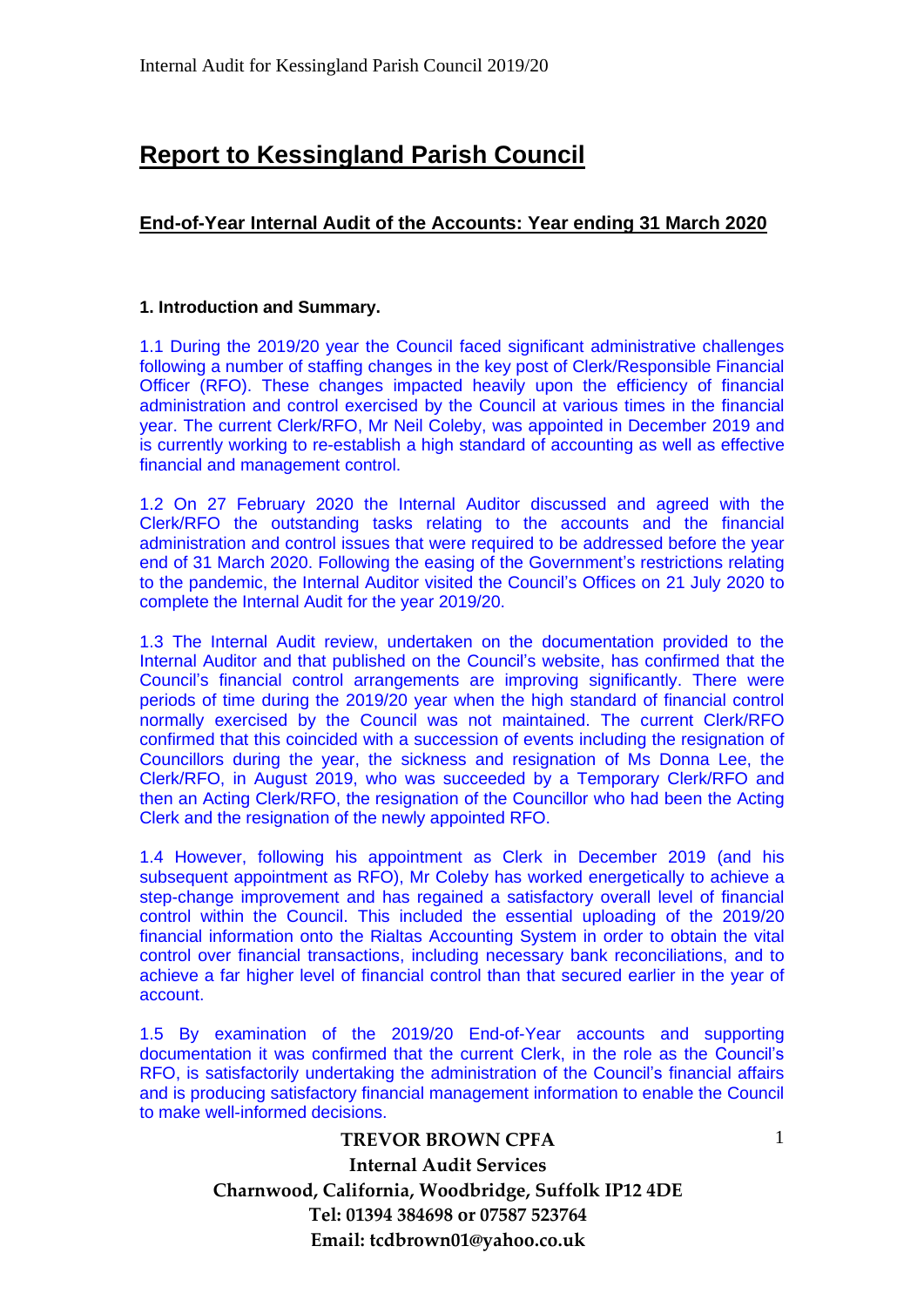# **Report to Kessingland Parish Council**

### **End-of-Year Internal Audit of the Accounts: Year ending 31 March 2020**

### **1. Introduction and Summary.**

1.1 During the 2019/20 year the Council faced significant administrative challenges following a number of staffing changes in the key post of Clerk/Responsible Financial Officer (RFO). These changes impacted heavily upon the efficiency of financial administration and control exercised by the Council at various times in the financial year. The current Clerk/RFO, Mr Neil Coleby, was appointed in December 2019 and is currently working to re-establish a high standard of accounting as well as effective financial and management control.

1.2 On 27 February 2020 the Internal Auditor discussed and agreed with the Clerk/RFO the outstanding tasks relating to the accounts and the financial administration and control issues that were required to be addressed before the year end of 31 March 2020. Following the easing of the Government's restrictions relating to the pandemic, the Internal Auditor visited the Council's Offices on 21 July 2020 to complete the Internal Audit for the year 2019/20.

1.3 The Internal Audit review, undertaken on the documentation provided to the Internal Auditor and that published on the Council's website, has confirmed that the Council's financial control arrangements are improving significantly. There were periods of time during the 2019/20 year when the high standard of financial control normally exercised by the Council was not maintained. The current Clerk/RFO confirmed that this coincided with a succession of events including the resignation of Councillors during the year, the sickness and resignation of Ms Donna Lee, the Clerk/RFO, in August 2019, who was succeeded by a Temporary Clerk/RFO and then an Acting Clerk/RFO, the resignation of the Councillor who had been the Acting Clerk and the resignation of the newly appointed RFO.

1.4 However, following his appointment as Clerk in December 2019 (and his subsequent appointment as RFO), Mr Coleby has worked energetically to achieve a step-change improvement and has regained a satisfactory overall level of financial control within the Council. This included the essential uploading of the 2019/20 financial information onto the Rialtas Accounting System in order to obtain the vital control over financial transactions, including necessary bank reconciliations, and to achieve a far higher level of financial control than that secured earlier in the year of account.

1.5 By examination of the 2019/20 End-of-Year accounts and supporting documentation it was confirmed that the current Clerk, in the role as the Council's RFO, is satisfactorily undertaking the administration of the Council's financial affairs and is producing satisfactory financial management information to enable the Council to make well-informed decisions.

1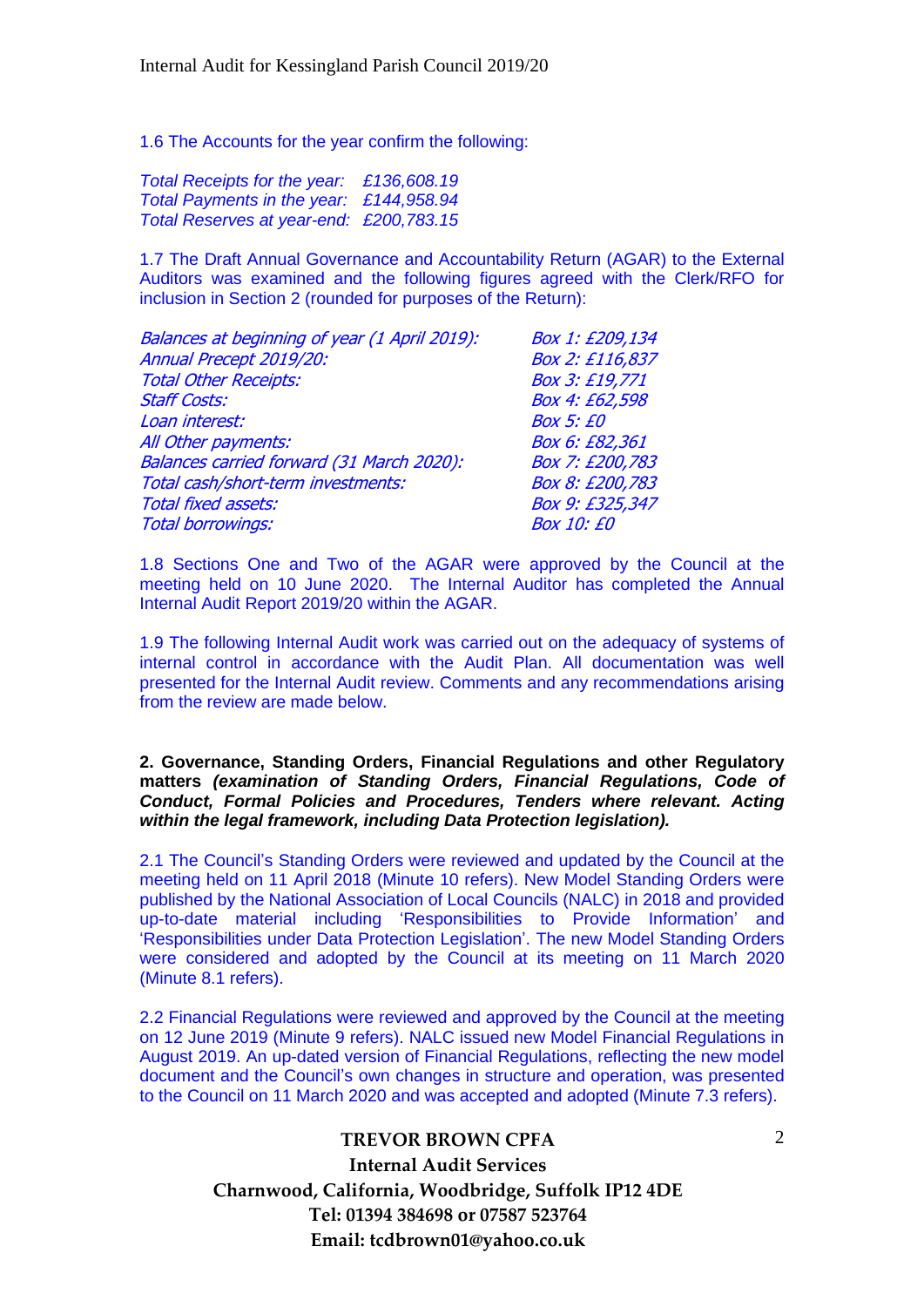1.6 The Accounts for the year confirm the following:

*Total Receipts for the year: £136,608.19 Total Payments in the year: £144,958.94 Total Reserves at year-end: £200,783.15*

1.7 The Draft Annual Governance and Accountability Return (AGAR) to the External Auditors was examined and the following figures agreed with the Clerk/RFO for inclusion in Section 2 (rounded for purposes of the Return):

| Balances at beginning of year (1 April 2019): | Box 1: £209,134   |
|-----------------------------------------------|-------------------|
| Annual Precept 2019/20:                       | Box 2: £116,837   |
| <b>Total Other Receipts:</b>                  | Box 3: £19,771    |
| <b>Staff Costs:</b>                           | Box 4: £62,598    |
| Loan interest:                                | <b>Box 5: £0</b>  |
| All Other payments:                           | Box 6: £82,361    |
| Balances carried forward (31 March 2020):     | Box 7: £200,783   |
| Total cash/short-term investments:            | Box 8: £200,783   |
| <b>Total fixed assets:</b>                    | Box 9: £325,347   |
| <b>Total borrowings:</b>                      | <b>Box 10: £0</b> |

1.8 Sections One and Two of the AGAR were approved by the Council at the meeting held on 10 June 2020. The Internal Auditor has completed the Annual Internal Audit Report 2019/20 within the AGAR.

1.9 The following Internal Audit work was carried out on the adequacy of systems of internal control in accordance with the Audit Plan. All documentation was well presented for the Internal Audit review. Comments and any recommendations arising from the review are made below.

#### **2. Governance, Standing Orders, Financial Regulations and other Regulatory matters** *(examination of Standing Orders, Financial Regulations, Code of Conduct, Formal Policies and Procedures, Tenders where relevant. Acting within the legal framework, including Data Protection legislation).*

2.1 The Council's Standing Orders were reviewed and updated by the Council at the meeting held on 11 April 2018 (Minute 10 refers). New Model Standing Orders were published by the National Association of Local Councils (NALC) in 2018 and provided up-to-date material including 'Responsibilities to Provide Information' and 'Responsibilities under Data Protection Legislation'. The new Model Standing Orders were considered and adopted by the Council at its meeting on 11 March 2020 (Minute 8.1 refers).

2.2 Financial Regulations were reviewed and approved by the Council at the meeting on 12 June 2019 (Minute 9 refers). NALC issued new Model Financial Regulations in August 2019. An up-dated version of Financial Regulations, reflecting the new model document and the Council's own changes in structure and operation, was presented to the Council on 11 March 2020 and was accepted and adopted (Minute 7.3 refers).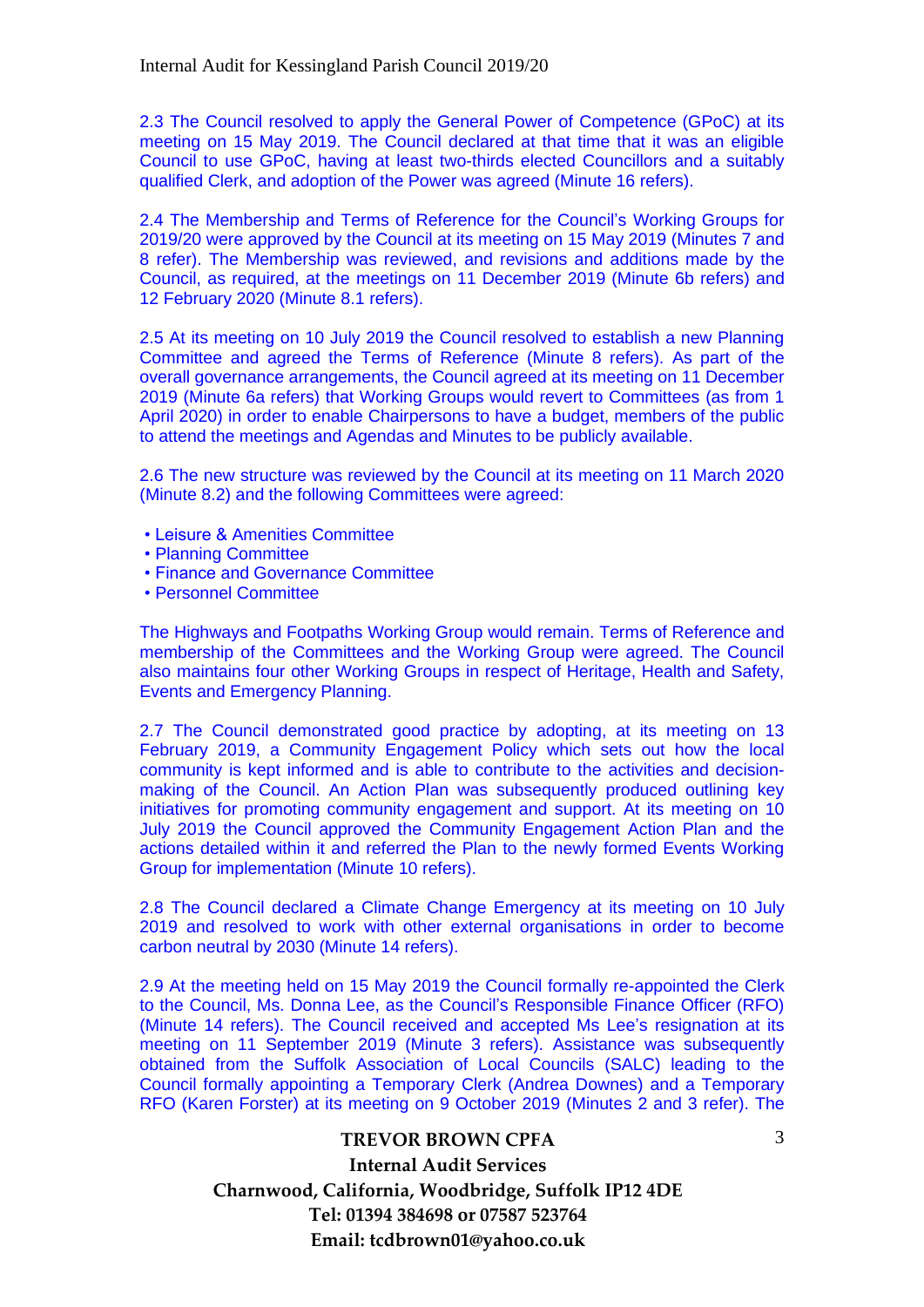2.3 The Council resolved to apply the General Power of Competence (GPoC) at its meeting on 15 May 2019. The Council declared at that time that it was an eligible Council to use GPoC, having at least two-thirds elected Councillors and a suitably qualified Clerk, and adoption of the Power was agreed (Minute 16 refers).

2.4 The Membership and Terms of Reference for the Council's Working Groups for 2019/20 were approved by the Council at its meeting on 15 May 2019 (Minutes 7 and 8 refer). The Membership was reviewed, and revisions and additions made by the Council, as required, at the meetings on 11 December 2019 (Minute 6b refers) and 12 February 2020 (Minute 8.1 refers).

2.5 At its meeting on 10 July 2019 the Council resolved to establish a new Planning Committee and agreed the Terms of Reference (Minute 8 refers). As part of the overall governance arrangements, the Council agreed at its meeting on 11 December 2019 (Minute 6a refers) that Working Groups would revert to Committees (as from 1 April 2020) in order to enable Chairpersons to have a budget, members of the public to attend the meetings and Agendas and Minutes to be publicly available.

2.6 The new structure was reviewed by the Council at its meeting on 11 March 2020 (Minute 8.2) and the following Committees were agreed:

- Leisure & Amenities Committee
- Planning Committee
- Finance and Governance Committee
- Personnel Committee

The Highways and Footpaths Working Group would remain. Terms of Reference and membership of the Committees and the Working Group were agreed. The Council also maintains four other Working Groups in respect of Heritage, Health and Safety, Events and Emergency Planning.

2.7 The Council demonstrated good practice by adopting, at its meeting on 13 February 2019, a Community Engagement Policy which sets out how the local community is kept informed and is able to contribute to the activities and decisionmaking of the Council. An Action Plan was subsequently produced outlining key initiatives for promoting community engagement and support. At its meeting on 10 July 2019 the Council approved the Community Engagement Action Plan and the actions detailed within it and referred the Plan to the newly formed Events Working Group for implementation (Minute 10 refers).

2.8 The Council declared a Climate Change Emergency at its meeting on 10 July 2019 and resolved to work with other external organisations in order to become carbon neutral by 2030 (Minute 14 refers).

2.9 At the meeting held on 15 May 2019 the Council formally re-appointed the Clerk to the Council, Ms. Donna Lee, as the Council's Responsible Finance Officer (RFO) (Minute 14 refers). The Council received and accepted Ms Lee's resignation at its meeting on 11 September 2019 (Minute 3 refers). Assistance was subsequently obtained from the Suffolk Association of Local Councils (SALC) leading to the Council formally appointing a Temporary Clerk (Andrea Downes) and a Temporary RFO (Karen Forster) at its meeting on 9 October 2019 (Minutes 2 and 3 refer). The

3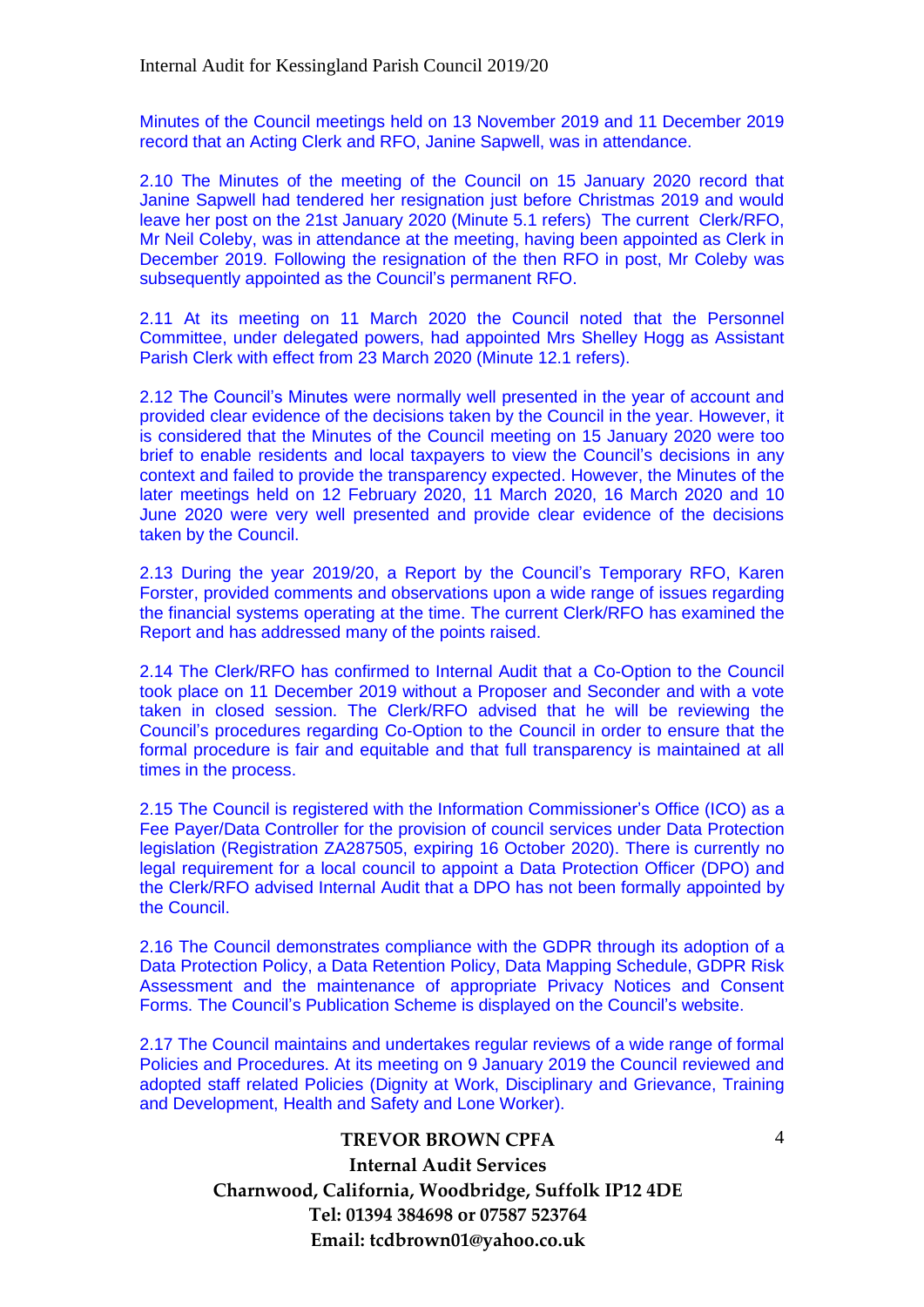Minutes of the Council meetings held on 13 November 2019 and 11 December 2019 record that an Acting Clerk and RFO, Janine Sapwell, was in attendance.

2.10 The Minutes of the meeting of the Council on 15 January 2020 record that Janine Sapwell had tendered her resignation just before Christmas 2019 and would leave her post on the 21st January 2020 (Minute 5.1 refers) The current Clerk/RFO, Mr Neil Coleby, was in attendance at the meeting, having been appointed as Clerk in December 2019. Following the resignation of the then RFO in post, Mr Coleby was subsequently appointed as the Council's permanent RFO.

2.11 At its meeting on 11 March 2020 the Council noted that the Personnel Committee, under delegated powers, had appointed Mrs Shelley Hogg as Assistant Parish Clerk with effect from 23 March 2020 (Minute 12.1 refers).

2.12 The Council's Minutes were normally well presented in the year of account and provided clear evidence of the decisions taken by the Council in the year. However, it is considered that the Minutes of the Council meeting on 15 January 2020 were too brief to enable residents and local taxpayers to view the Council's decisions in any context and failed to provide the transparency expected. However, the Minutes of the later meetings held on 12 February 2020, 11 March 2020, 16 March 2020 and 10 June 2020 were very well presented and provide clear evidence of the decisions taken by the Council.

2.13 During the year 2019/20, a Report by the Council's Temporary RFO, Karen Forster, provided comments and observations upon a wide range of issues regarding the financial systems operating at the time. The current Clerk/RFO has examined the Report and has addressed many of the points raised.

2.14 The Clerk/RFO has confirmed to Internal Audit that a Co-Option to the Council took place on 11 December 2019 without a Proposer and Seconder and with a vote taken in closed session. The Clerk/RFO advised that he will be reviewing the Council's procedures regarding Co-Option to the Council in order to ensure that the formal procedure is fair and equitable and that full transparency is maintained at all times in the process.

2.15 The Council is registered with the Information Commissioner's Office (ICO) as a Fee Payer/Data Controller for the provision of council services under Data Protection legislation (Registration ZA287505, expiring 16 October 2020). There is currently no legal requirement for a local council to appoint a Data Protection Officer (DPO) and the Clerk/RFO advised Internal Audit that a DPO has not been formally appointed by the Council.

2.16 The Council demonstrates compliance with the GDPR through its adoption of a Data Protection Policy, a Data Retention Policy, Data Mapping Schedule, GDPR Risk Assessment and the maintenance of appropriate Privacy Notices and Consent Forms. The Council's Publication Scheme is displayed on the Council's website.

2.17 The Council maintains and undertakes regular reviews of a wide range of formal Policies and Procedures. At its meeting on 9 January 2019 the Council reviewed and adopted staff related Policies (Dignity at Work, Disciplinary and Grievance, Training and Development, Health and Safety and Lone Worker).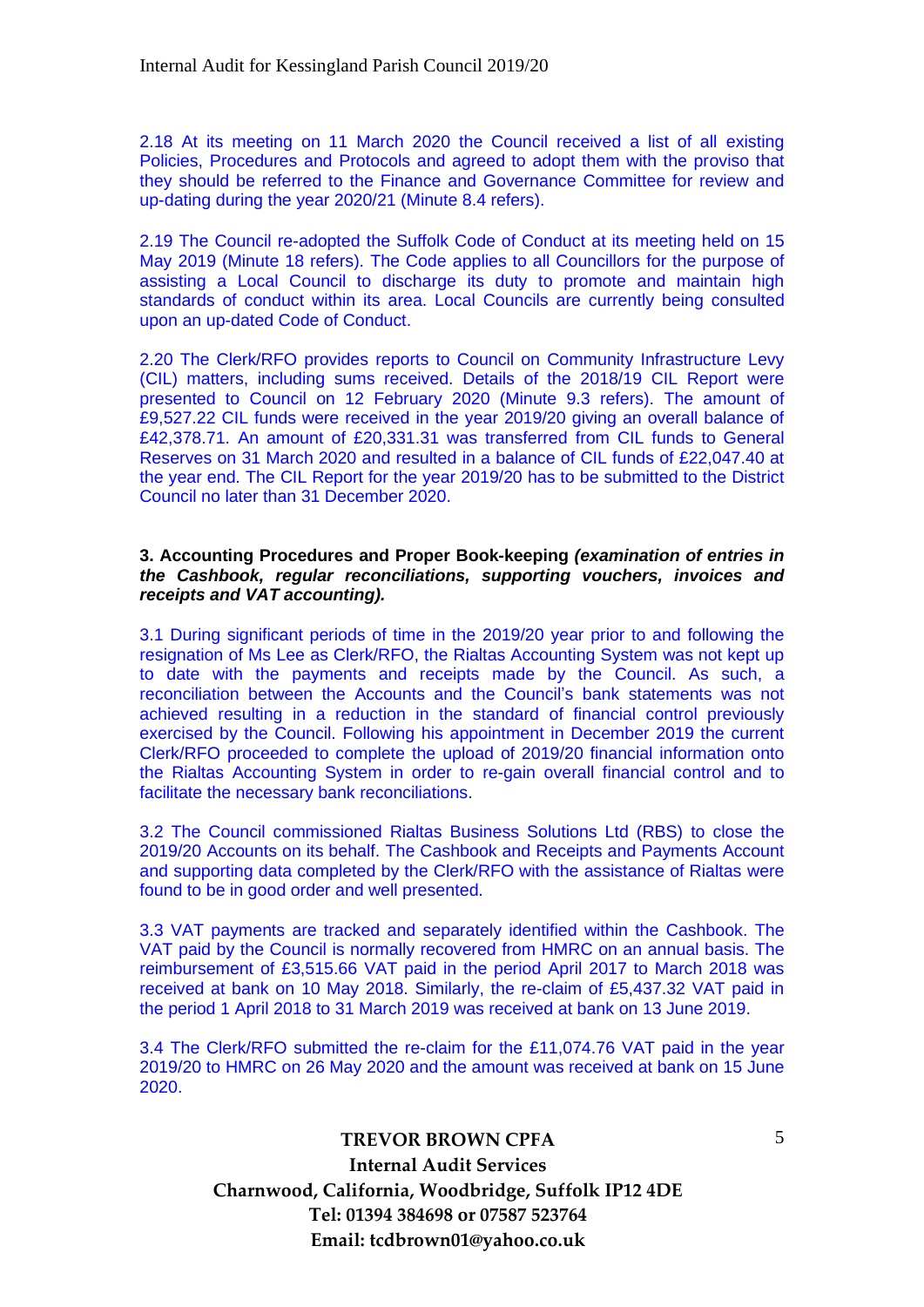2.18 At its meeting on 11 March 2020 the Council received a list of all existing Policies, Procedures and Protocols and agreed to adopt them with the proviso that they should be referred to the Finance and Governance Committee for review and up-dating during the year 2020/21 (Minute 8.4 refers).

2.19 The Council re-adopted the Suffolk Code of Conduct at its meeting held on 15 May 2019 (Minute 18 refers). The Code applies to all Councillors for the purpose of assisting a Local Council to discharge its duty to promote and maintain high standards of conduct within its area. Local Councils are currently being consulted upon an up-dated Code of Conduct.

2.20 The Clerk/RFO provides reports to Council on Community Infrastructure Levy (CIL) matters, including sums received. Details of the 2018/19 CIL Report were presented to Council on 12 February 2020 (Minute 9.3 refers). The amount of £9,527.22 CIL funds were received in the year 2019/20 giving an overall balance of £42,378.71. An amount of £20,331.31 was transferred from CIL funds to General Reserves on 31 March 2020 and resulted in a balance of CIL funds of £22,047.40 at the year end. The CIL Report for the year 2019/20 has to be submitted to the District Council no later than 31 December 2020.

#### **3. Accounting Procedures and Proper Book-keeping** *(examination of entries in the Cashbook, regular reconciliations, supporting vouchers, invoices and receipts and VAT accounting).*

3.1 During significant periods of time in the 2019/20 year prior to and following the resignation of Ms Lee as Clerk/RFO, the Rialtas Accounting System was not kept up to date with the payments and receipts made by the Council. As such, a reconciliation between the Accounts and the Council's bank statements was not achieved resulting in a reduction in the standard of financial control previously exercised by the Council. Following his appointment in December 2019 the current Clerk/RFO proceeded to complete the upload of 2019/20 financial information onto the Rialtas Accounting System in order to re-gain overall financial control and to facilitate the necessary bank reconciliations.

3.2 The Council commissioned Rialtas Business Solutions Ltd (RBS) to close the 2019/20 Accounts on its behalf. The Cashbook and Receipts and Payments Account and supporting data completed by the Clerk/RFO with the assistance of Rialtas were found to be in good order and well presented.

3.3 VAT payments are tracked and separately identified within the Cashbook. The VAT paid by the Council is normally recovered from HMRC on an annual basis. The reimbursement of £3,515.66 VAT paid in the period April 2017 to March 2018 was received at bank on 10 May 2018. Similarly, the re-claim of £5,437.32 VAT paid in the period 1 April 2018 to 31 March 2019 was received at bank on 13 June 2019.

3.4 The Clerk/RFO submitted the re-claim for the £11,074.76 VAT paid in the year 2019/20 to HMRC on 26 May 2020 and the amount was received at bank on 15 June 2020.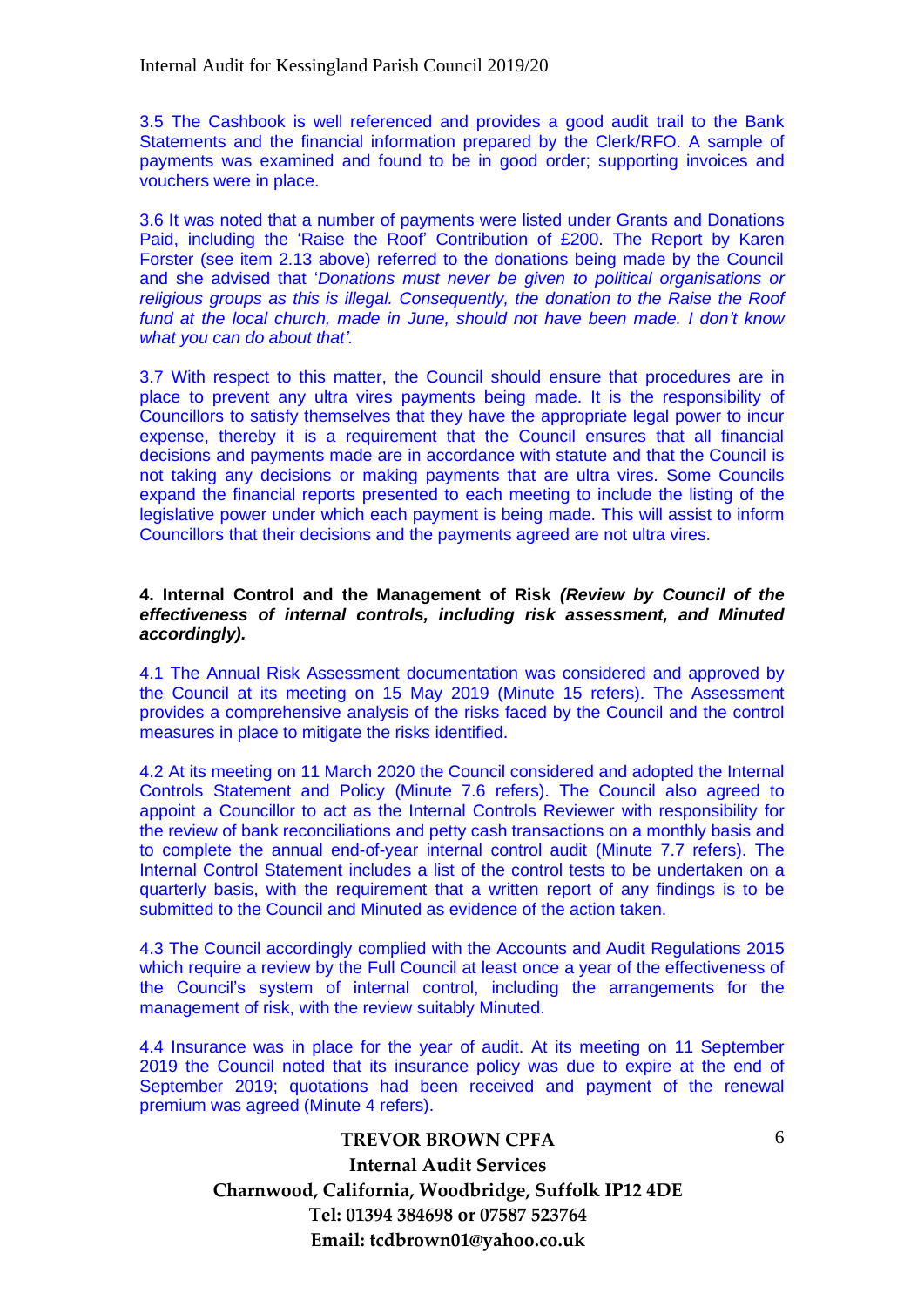3.5 The Cashbook is well referenced and provides a good audit trail to the Bank Statements and the financial information prepared by the Clerk/RFO. A sample of payments was examined and found to be in good order; supporting invoices and vouchers were in place.

3.6 It was noted that a number of payments were listed under Grants and Donations Paid, including the 'Raise the Roof' Contribution of £200. The Report by Karen Forster (see item 2.13 above) referred to the donations being made by the Council and she advised that '*Donations must never be given to political organisations or religious groups as this is illegal. Consequently, the donation to the Raise the Roof fund at the local church, made in June, should not have been made. I don't know what you can do about that'.*

3.7 With respect to this matter, the Council should ensure that procedures are in place to prevent any ultra vires payments being made. It is the responsibility of Councillors to satisfy themselves that they have the appropriate legal power to incur expense, thereby it is a requirement that the Council ensures that all financial decisions and payments made are in accordance with statute and that the Council is not taking any decisions or making payments that are ultra vires. Some Councils expand the financial reports presented to each meeting to include the listing of the legislative power under which each payment is being made. This will assist to inform Councillors that their decisions and the payments agreed are not ultra vires.

#### **4. Internal Control and the Management of Risk** *(Review by Council of the effectiveness of internal controls, including risk assessment, and Minuted accordingly).*

4.1 The Annual Risk Assessment documentation was considered and approved by the Council at its meeting on 15 May 2019 (Minute 15 refers). The Assessment provides a comprehensive analysis of the risks faced by the Council and the control measures in place to mitigate the risks identified.

4.2 At its meeting on 11 March 2020 the Council considered and adopted the Internal Controls Statement and Policy (Minute 7.6 refers). The Council also agreed to appoint a Councillor to act as the Internal Controls Reviewer with responsibility for the review of bank reconciliations and petty cash transactions on a monthly basis and to complete the annual end-of-year internal control audit (Minute 7.7 refers). The Internal Control Statement includes a list of the control tests to be undertaken on a quarterly basis, with the requirement that a written report of any findings is to be submitted to the Council and Minuted as evidence of the action taken.

4.3 The Council accordingly complied with the Accounts and Audit Regulations 2015 which require a review by the Full Council at least once a year of the effectiveness of the Council's system of internal control, including the arrangements for the management of risk, with the review suitably Minuted.

4.4 Insurance was in place for the year of audit. At its meeting on 11 September 2019 the Council noted that its insurance policy was due to expire at the end of September 2019; quotations had been received and payment of the renewal premium was agreed (Minute 4 refers).

6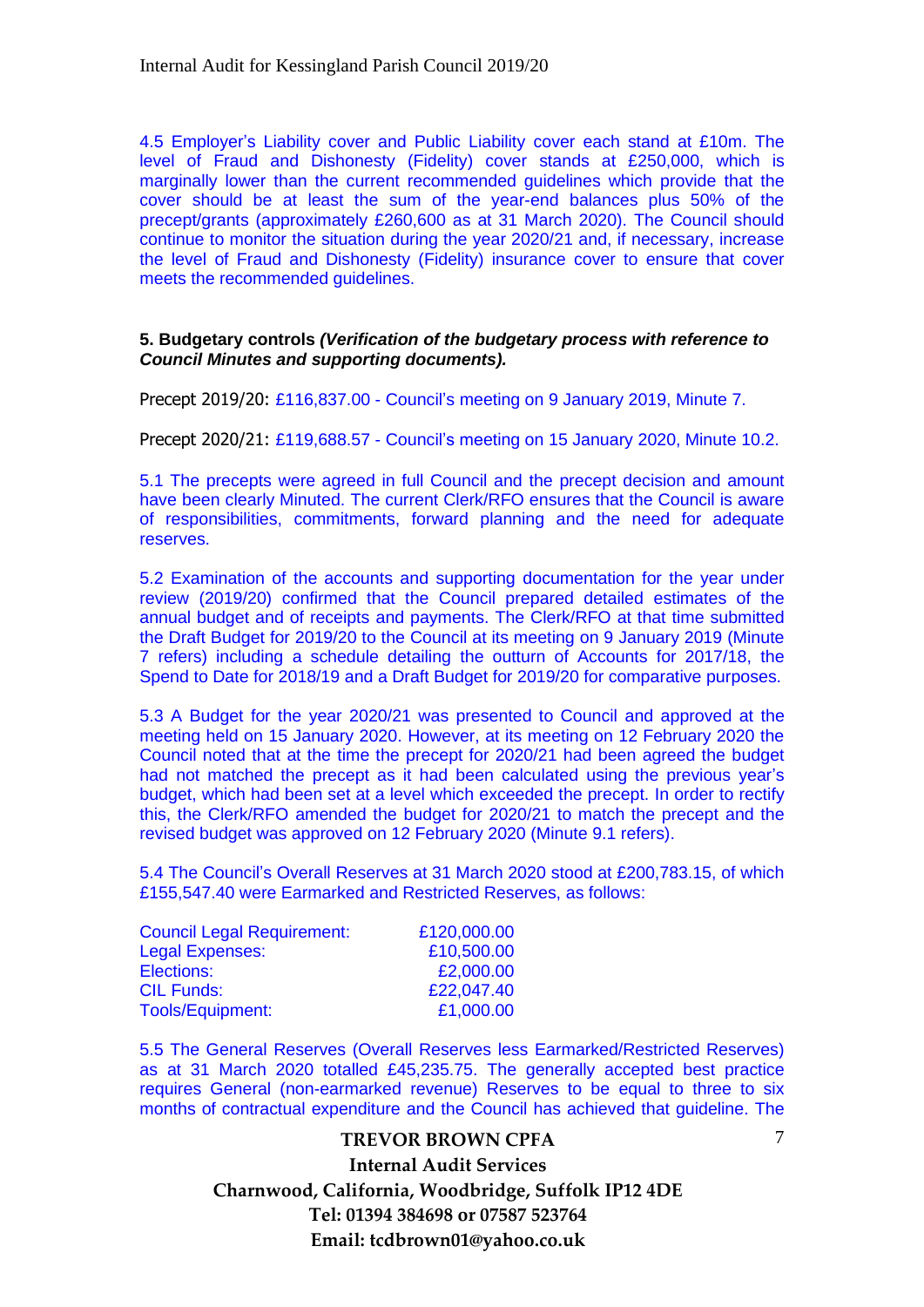4.5 Employer's Liability cover and Public Liability cover each stand at £10m. The level of Fraud and Dishonesty (Fidelity) cover stands at £250,000, which is marginally lower than the current recommended guidelines which provide that the cover should be at least the sum of the year-end balances plus 50% of the precept/grants (approximately £260,600 as at 31 March 2020). The Council should continue to monitor the situation during the year 2020/21 and, if necessary, increase the level of Fraud and Dishonesty (Fidelity) insurance cover to ensure that cover meets the recommended guidelines.

#### **5. Budgetary controls** *(Verification of the budgetary process with reference to Council Minutes and supporting documents).*

Precept 2019/20: £116,837.00 - Council's meeting on 9 January 2019, Minute 7.

Precept 2020/21: £119,688.57 - Council's meeting on 15 January 2020, Minute 10.2.

5.1 The precepts were agreed in full Council and the precept decision and amount have been clearly Minuted. The current Clerk/RFO ensures that the Council is aware of responsibilities, commitments, forward planning and the need for adequate reserves.

5.2 Examination of the accounts and supporting documentation for the year under review (2019/20) confirmed that the Council prepared detailed estimates of the annual budget and of receipts and payments. The Clerk/RFO at that time submitted the Draft Budget for 2019/20 to the Council at its meeting on 9 January 2019 (Minute 7 refers) including a schedule detailing the outturn of Accounts for 2017/18, the Spend to Date for 2018/19 and a Draft Budget for 2019/20 for comparative purposes.

5.3 A Budget for the year 2020/21 was presented to Council and approved at the meeting held on 15 January 2020. However, at its meeting on 12 February 2020 the Council noted that at the time the precept for 2020/21 had been agreed the budget had not matched the precept as it had been calculated using the previous vear's budget, which had been set at a level which exceeded the precept. In order to rectify this, the Clerk/RFO amended the budget for 2020/21 to match the precept and the revised budget was approved on 12 February 2020 (Minute 9.1 refers).

5.4 The Council's Overall Reserves at 31 March 2020 stood at £200,783.15, of which £155,547.40 were Earmarked and Restricted Reserves, as follows:

| <b>Council Legal Requirement:</b> | £120,000.00 |
|-----------------------------------|-------------|
| <b>Legal Expenses:</b>            | £10,500.00  |
| Elections:                        | £2,000.00   |
| <b>CIL Funds:</b>                 | £22,047.40  |
| <b>Tools/Equipment:</b>           | £1,000.00   |

5.5 The General Reserves (Overall Reserves less Earmarked/Restricted Reserves) as at 31 March 2020 totalled £45,235.75. The generally accepted best practice requires General (non-earmarked revenue) Reserves to be equal to three to six months of contractual expenditure and the Council has achieved that guideline. The

## **TREVOR BROWN CPFA Internal Audit Services Charnwood, California, Woodbridge, Suffolk IP12 4DE Tel: 01394 384698 or 07587 523764 Email: tcdbrown01@yahoo.co.uk**

7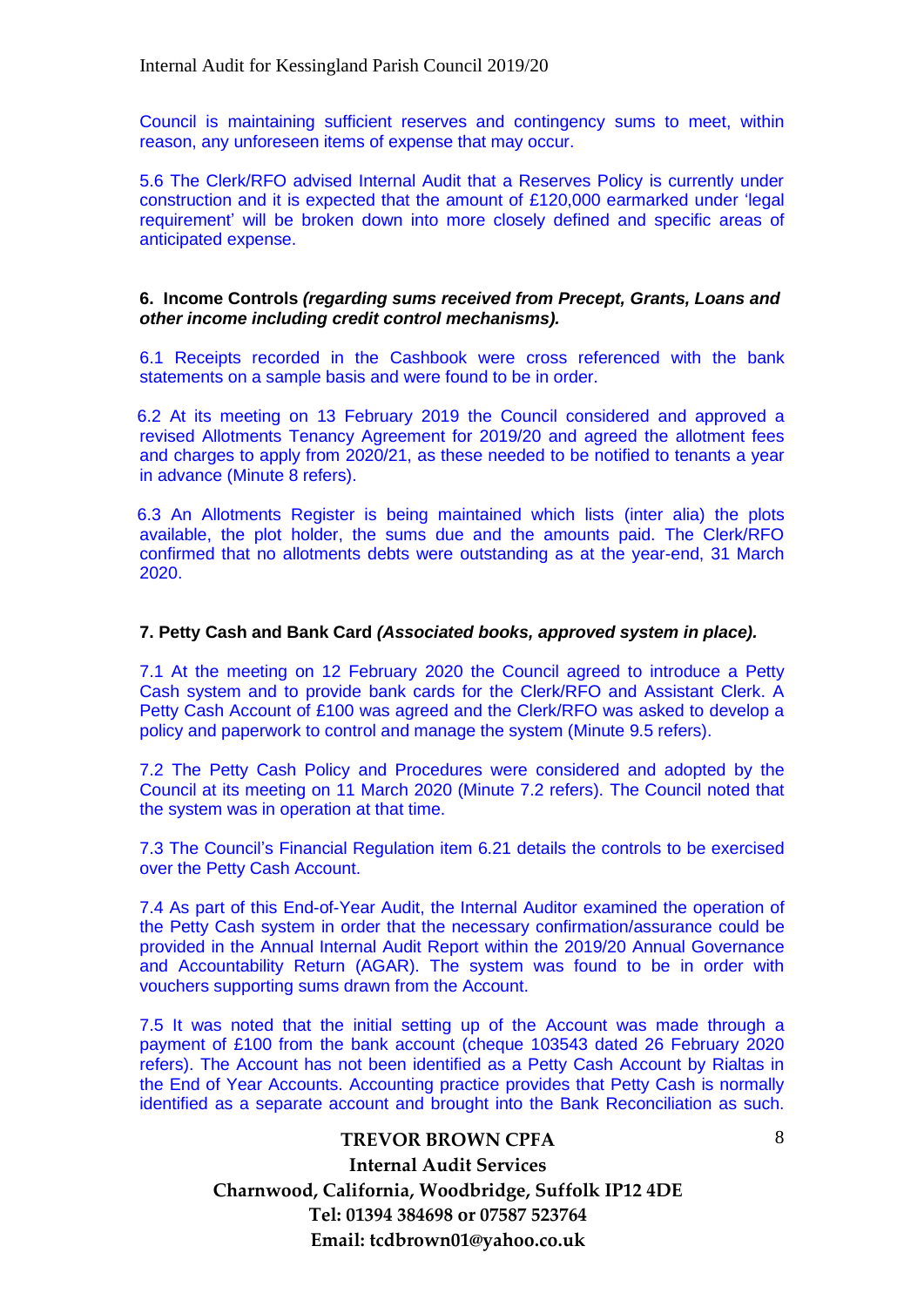Council is maintaining sufficient reserves and contingency sums to meet, within reason, any unforeseen items of expense that may occur.

5.6 The Clerk/RFO advised Internal Audit that a Reserves Policy is currently under construction and it is expected that the amount of £120,000 earmarked under 'legal requirement' will be broken down into more closely defined and specific areas of anticipated expense.

#### **6. Income Controls** *(regarding sums received from Precept, Grants, Loans and other income including credit control mechanisms).*

6.1 Receipts recorded in the Cashbook were cross referenced with the bank statements on a sample basis and were found to be in order.

6.2 At its meeting on 13 February 2019 the Council considered and approved a revised Allotments Tenancy Agreement for 2019/20 and agreed the allotment fees and charges to apply from 2020/21, as these needed to be notified to tenants a year in advance (Minute 8 refers).

6.3 An Allotments Register is being maintained which lists (inter alia) the plots available, the plot holder, the sums due and the amounts paid. The Clerk/RFO confirmed that no allotments debts were outstanding as at the year-end, 31 March 2020.

#### **7. Petty Cash and Bank Card** *(Associated books, approved system in place).*

7.1 At the meeting on 12 February 2020 the Council agreed to introduce a Petty Cash system and to provide bank cards for the Clerk/RFO and Assistant Clerk. A Petty Cash Account of £100 was agreed and the Clerk/RFO was asked to develop a policy and paperwork to control and manage the system (Minute 9.5 refers).

7.2 The Petty Cash Policy and Procedures were considered and adopted by the Council at its meeting on 11 March 2020 (Minute 7.2 refers). The Council noted that the system was in operation at that time.

7.3 The Council's Financial Regulation item 6.21 details the controls to be exercised over the Petty Cash Account.

7.4 As part of this End-of-Year Audit, the Internal Auditor examined the operation of the Petty Cash system in order that the necessary confirmation/assurance could be provided in the Annual Internal Audit Report within the 2019/20 Annual Governance and Accountability Return (AGAR). The system was found to be in order with vouchers supporting sums drawn from the Account.

7.5 It was noted that the initial setting up of the Account was made through a payment of £100 from the bank account (cheque 103543 dated 26 February 2020 refers). The Account has not been identified as a Petty Cash Account by Rialtas in the End of Year Accounts. Accounting practice provides that Petty Cash is normally identified as a separate account and brought into the Bank Reconciliation as such.

### **TREVOR BROWN CPFA**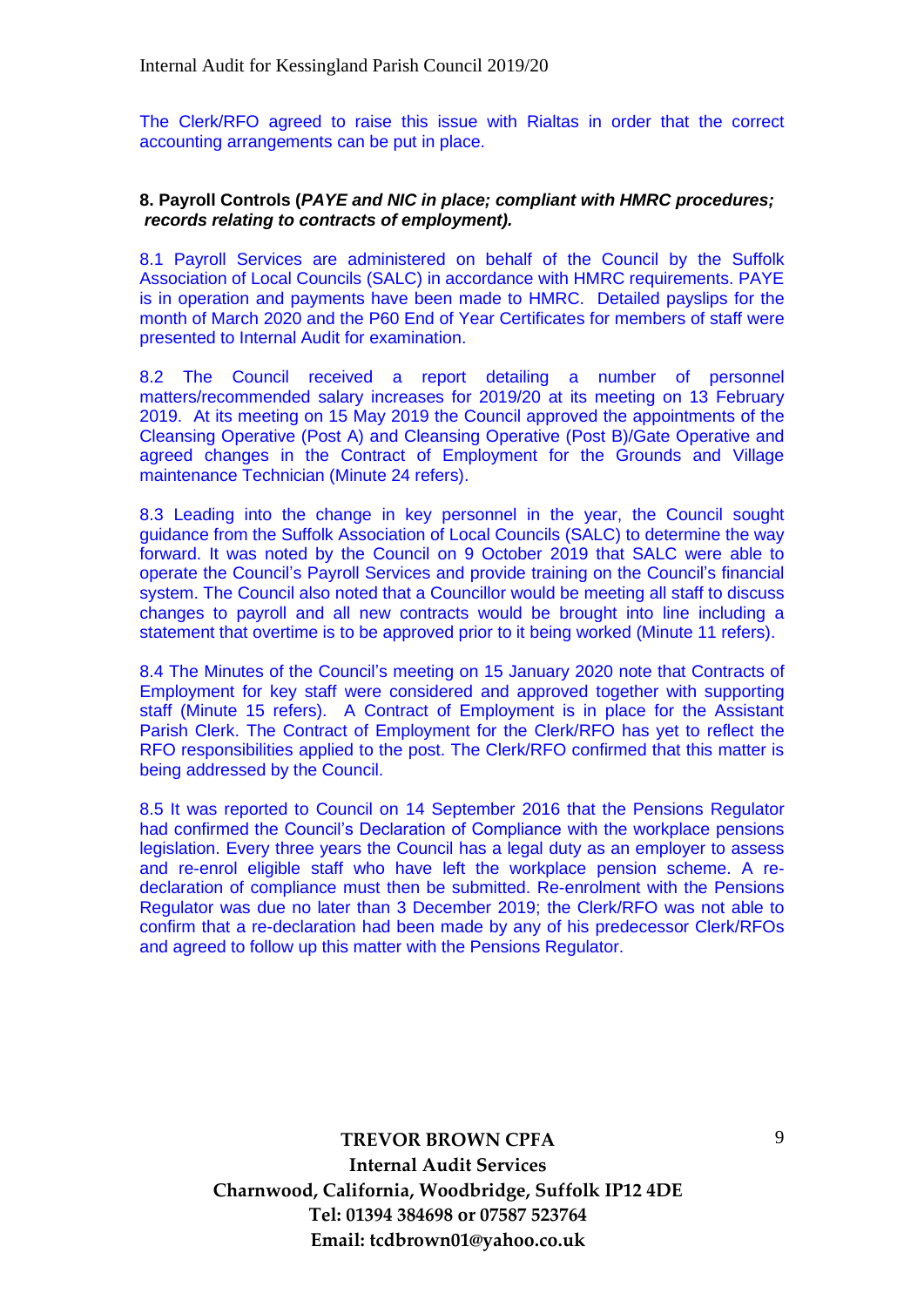The Clerk/RFO agreed to raise this issue with Rialtas in order that the correct accounting arrangements can be put in place.

#### **8. Payroll Controls (***PAYE and NIC in place; compliant with HMRC procedures; records relating to contracts of employment).*

8.1 Payroll Services are administered on behalf of the Council by the Suffolk Association of Local Councils (SALC) in accordance with HMRC requirements. PAYE is in operation and payments have been made to HMRC. Detailed payslips for the month of March 2020 and the P60 End of Year Certificates for members of staff were presented to Internal Audit for examination.

8.2 The Council received a report detailing a number of personnel matters/recommended salary increases for 2019/20 at its meeting on 13 February 2019. At its meeting on 15 May 2019 the Council approved the appointments of the Cleansing Operative (Post A) and Cleansing Operative (Post B)/Gate Operative and agreed changes in the Contract of Employment for the Grounds and Village maintenance Technician (Minute 24 refers).

8.3 Leading into the change in key personnel in the year, the Council sought guidance from the Suffolk Association of Local Councils (SALC) to determine the way forward. It was noted by the Council on 9 October 2019 that SALC were able to operate the Council's Payroll Services and provide training on the Council's financial system. The Council also noted that a Councillor would be meeting all staff to discuss changes to payroll and all new contracts would be brought into line including a statement that overtime is to be approved prior to it being worked (Minute 11 refers).

8.4 The Minutes of the Council's meeting on 15 January 2020 note that Contracts of Employment for key staff were considered and approved together with supporting staff (Minute 15 refers). A Contract of Employment is in place for the Assistant Parish Clerk. The Contract of Employment for the Clerk/RFO has yet to reflect the RFO responsibilities applied to the post. The Clerk/RFO confirmed that this matter is being addressed by the Council.

8.5 It was reported to Council on 14 September 2016 that the Pensions Regulator had confirmed the Council's Declaration of Compliance with the workplace pensions legislation. Every three years the Council has a legal duty as an employer to assess and re-enrol eligible staff who have left the workplace pension scheme. A redeclaration of compliance must then be submitted. Re-enrolment with the Pensions Regulator was due no later than 3 December 2019; the Clerk/RFO was not able to confirm that a re-declaration had been made by any of his predecessor Clerk/RFOs and agreed to follow up this matter with the Pensions Regulator.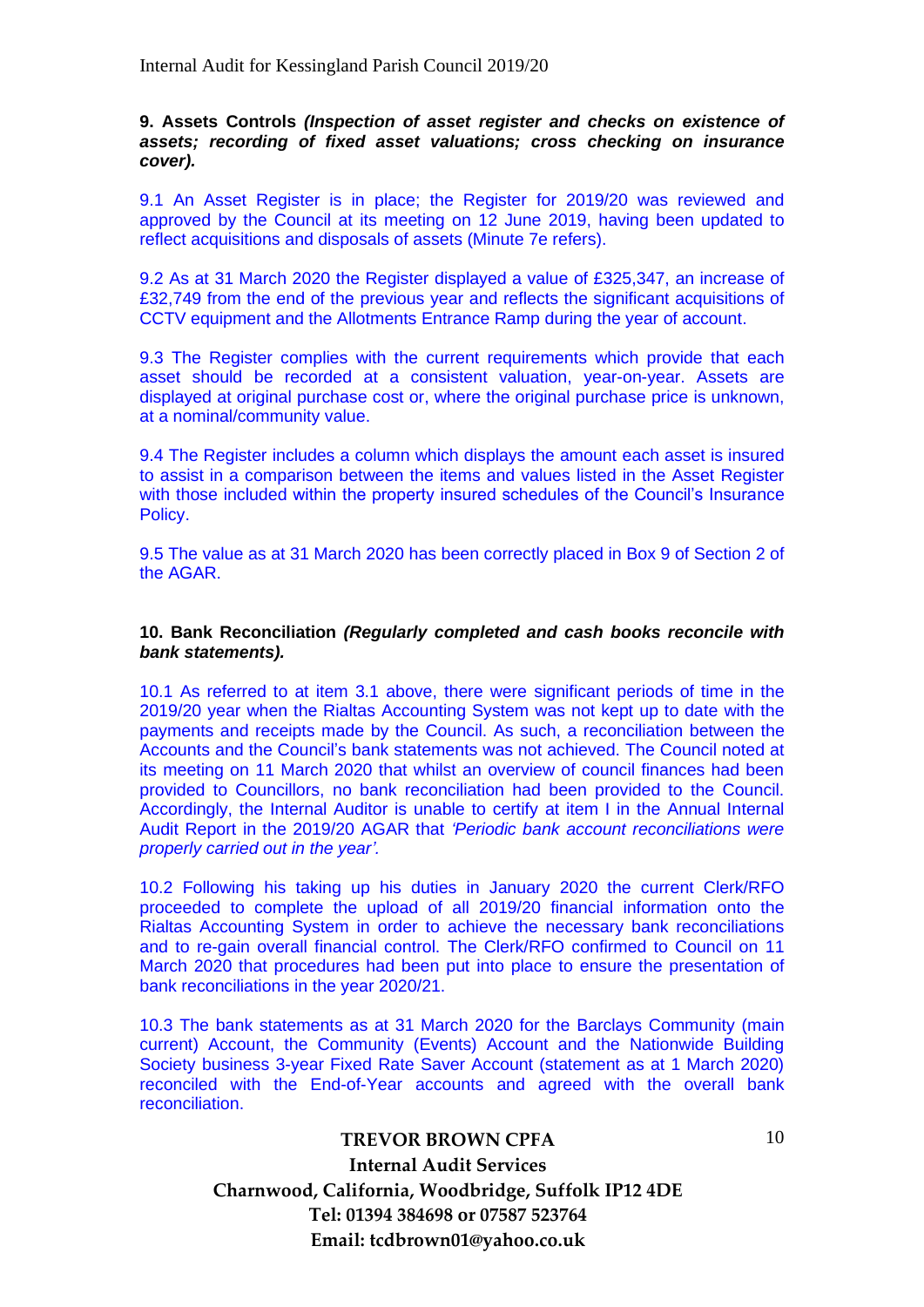#### **9. Assets Controls** *(Inspection of asset register and checks on existence of assets; recording of fixed asset valuations; cross checking on insurance cover).*

9.1 An Asset Register is in place; the Register for 2019/20 was reviewed and approved by the Council at its meeting on 12 June 2019, having been updated to reflect acquisitions and disposals of assets (Minute 7e refers).

9.2 As at 31 March 2020 the Register displayed a value of £325,347, an increase of £32,749 from the end of the previous year and reflects the significant acquisitions of CCTV equipment and the Allotments Entrance Ramp during the year of account.

9.3 The Register complies with the current requirements which provide that each asset should be recorded at a consistent valuation, year-on-year. Assets are displayed at original purchase cost or, where the original purchase price is unknown, at a nominal/community value.

9.4 The Register includes a column which displays the amount each asset is insured to assist in a comparison between the items and values listed in the Asset Register with those included within the property insured schedules of the Council's Insurance Policy.

9.5 The value as at 31 March 2020 has been correctly placed in Box 9 of Section 2 of the AGAR.

#### **10. Bank Reconciliation** *(Regularly completed and cash books reconcile with bank statements).*

10.1 As referred to at item 3.1 above, there were significant periods of time in the 2019/20 year when the Rialtas Accounting System was not kept up to date with the payments and receipts made by the Council. As such, a reconciliation between the Accounts and the Council's bank statements was not achieved. The Council noted at its meeting on 11 March 2020 that whilst an overview of council finances had been provided to Councillors, no bank reconciliation had been provided to the Council. Accordingly, the Internal Auditor is unable to certify at item I in the Annual Internal Audit Report in the 2019/20 AGAR that *'Periodic bank account reconciliations were properly carried out in the year'.*

10.2 Following his taking up his duties in January 2020 the current Clerk/RFO proceeded to complete the upload of all 2019/20 financial information onto the Rialtas Accounting System in order to achieve the necessary bank reconciliations and to re-gain overall financial control. The Clerk/RFO confirmed to Council on 11 March 2020 that procedures had been put into place to ensure the presentation of bank reconciliations in the year 2020/21.

10.3 The bank statements as at 31 March 2020 for the Barclays Community (main current) Account, the Community (Events) Account and the Nationwide Building Society business 3-year Fixed Rate Saver Account (statement as at 1 March 2020) reconciled with the End-of-Year accounts and agreed with the overall bank reconciliation.

10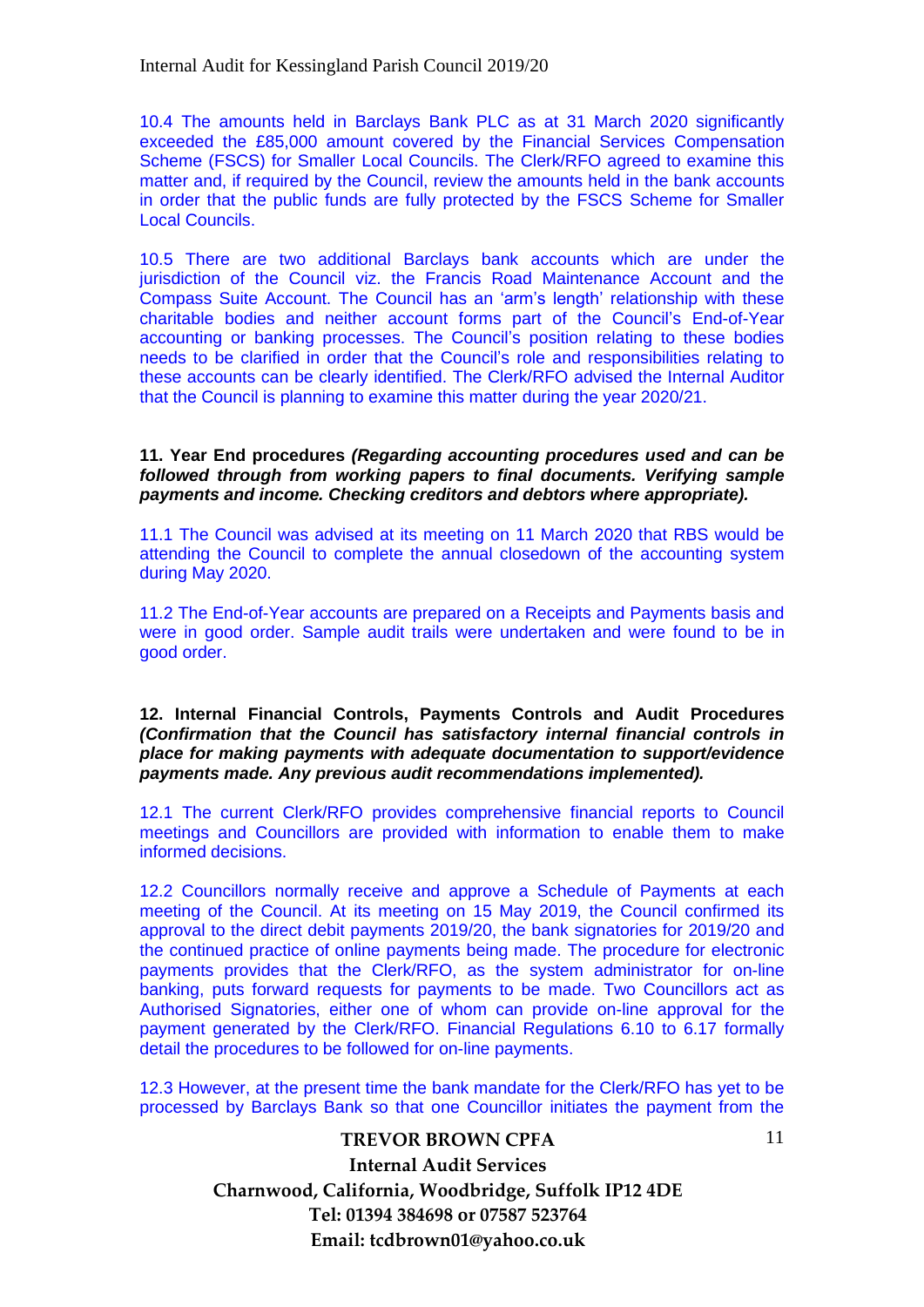10.4 The amounts held in Barclays Bank PLC as at 31 March 2020 significantly exceeded the £85,000 amount covered by the Financial Services Compensation Scheme (FSCS) for Smaller Local Councils. The Clerk/RFO agreed to examine this matter and, if required by the Council, review the amounts held in the bank accounts in order that the public funds are fully protected by the FSCS Scheme for Smaller Local Councils.

10.5 There are two additional Barclays bank accounts which are under the jurisdiction of the Council viz. the Francis Road Maintenance Account and the Compass Suite Account. The Council has an 'arm's length' relationship with these charitable bodies and neither account forms part of the Council's End-of-Year accounting or banking processes. The Council's position relating to these bodies needs to be clarified in order that the Council's role and responsibilities relating to these accounts can be clearly identified. The Clerk/RFO advised the Internal Auditor that the Council is planning to examine this matter during the year 2020/21.

**11. Year End procedures** *(Regarding accounting procedures used and can be followed through from working papers to final documents. Verifying sample payments and income. Checking creditors and debtors where appropriate).*

11.1 The Council was advised at its meeting on 11 March 2020 that RBS would be attending the Council to complete the annual closedown of the accounting system during May 2020.

11.2 The End-of-Year accounts are prepared on a Receipts and Payments basis and were in good order. Sample audit trails were undertaken and were found to be in good order.

**12. Internal Financial Controls, Payments Controls and Audit Procedures**  *(Confirmation that the Council has satisfactory internal financial controls in place for making payments with adequate documentation to support/evidence payments made. Any previous audit recommendations implemented).*

12.1 The current Clerk/RFO provides comprehensive financial reports to Council meetings and Councillors are provided with information to enable them to make informed decisions.

12.2 Councillors normally receive and approve a Schedule of Payments at each meeting of the Council. At its meeting on 15 May 2019, the Council confirmed its approval to the direct debit payments 2019/20, the bank signatories for 2019/20 and the continued practice of online payments being made. The procedure for electronic payments provides that the Clerk/RFO, as the system administrator for on-line banking, puts forward requests for payments to be made. Two Councillors act as Authorised Signatories, either one of whom can provide on-line approval for the payment generated by the Clerk/RFO. Financial Regulations 6.10 to 6.17 formally detail the procedures to be followed for on-line payments.

12.3 However, at the present time the bank mandate for the Clerk/RFO has yet to be processed by Barclays Bank so that one Councillor initiates the payment from the

> **TREVOR BROWN CPFA Internal Audit Services Charnwood, California, Woodbridge, Suffolk IP12 4DE Tel: 01394 384698 or 07587 523764 Email: tcdbrown01@yahoo.co.uk**

11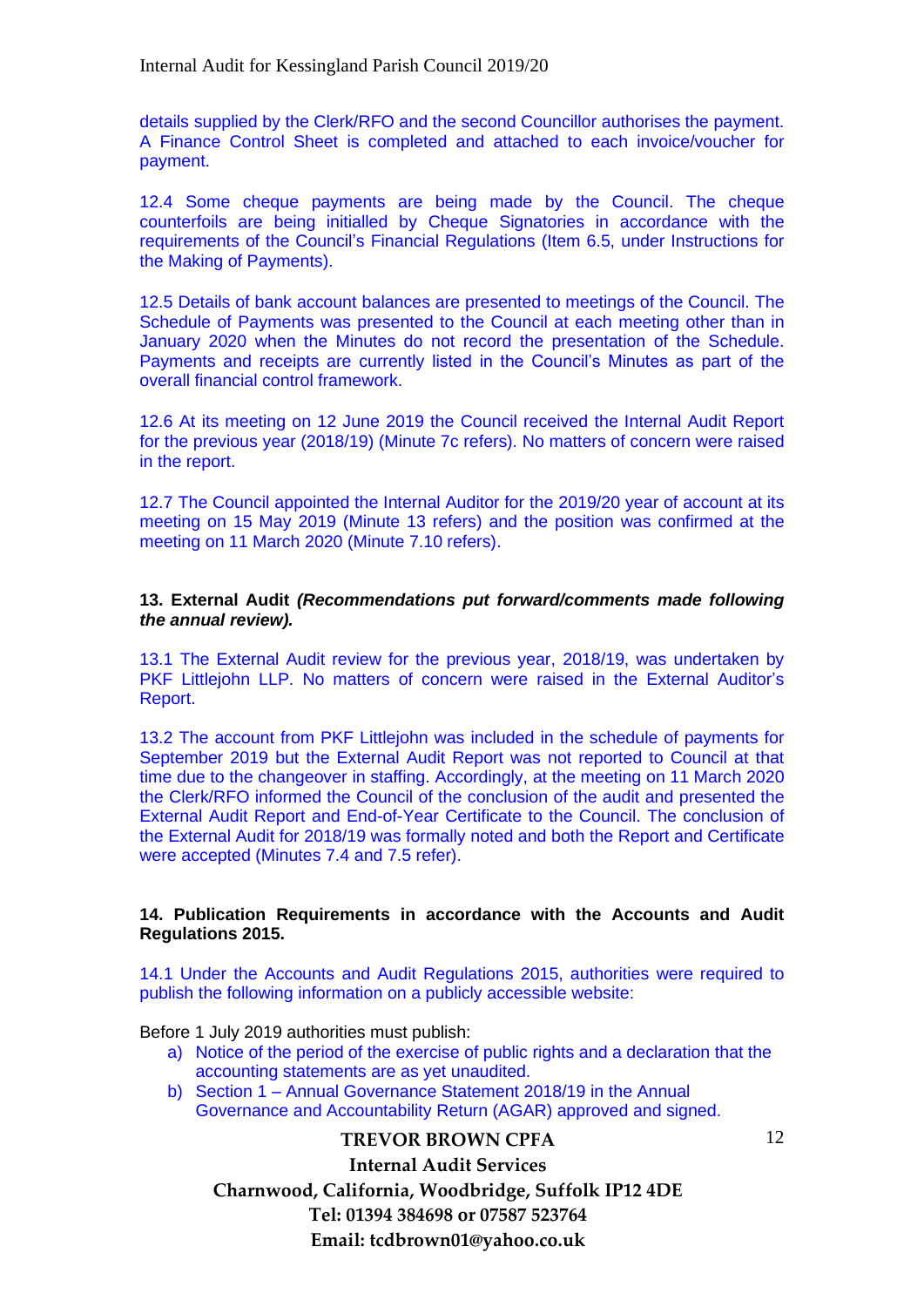details supplied by the Clerk/RFO and the second Councillor authorises the payment. A Finance Control Sheet is completed and attached to each invoice/voucher for payment.

12.4 Some cheque payments are being made by the Council. The cheque counterfoils are being initialled by Cheque Signatories in accordance with the requirements of the Council's Financial Regulations (Item 6.5, under Instructions for the Making of Payments).

12.5 Details of bank account balances are presented to meetings of the Council. The Schedule of Payments was presented to the Council at each meeting other than in January 2020 when the Minutes do not record the presentation of the Schedule. Payments and receipts are currently listed in the Council's Minutes as part of the overall financial control framework.

12.6 At its meeting on 12 June 2019 the Council received the Internal Audit Report for the previous year (2018/19) (Minute 7c refers). No matters of concern were raised in the report.

12.7 The Council appointed the Internal Auditor for the 2019/20 year of account at its meeting on 15 May 2019 (Minute 13 refers) and the position was confirmed at the meeting on 11 March 2020 (Minute 7.10 refers).

#### **13. External Audit** *(Recommendations put forward/comments made following the annual review).*

13.1 The External Audit review for the previous year, 2018/19, was undertaken by PKF Littlejohn LLP. No matters of concern were raised in the External Auditor's Report.

13.2 The account from PKF Littlejohn was included in the schedule of payments for September 2019 but the External Audit Report was not reported to Council at that time due to the changeover in staffing. Accordingly, at the meeting on 11 March 2020 the Clerk/RFO informed the Council of the conclusion of the audit and presented the External Audit Report and End-of-Year Certificate to the Council. The conclusion of the External Audit for 2018/19 was formally noted and both the Report and Certificate were accepted (Minutes 7.4 and 7.5 refer).

### **14. Publication Requirements in accordance with the Accounts and Audit Regulations 2015.**

14.1 Under the Accounts and Audit Regulations 2015, authorities were required to publish the following information on a publicly accessible website:

Before 1 July 2019 authorities must publish:

- a) Notice of the period of the exercise of public rights and a declaration that the accounting statements are as yet unaudited.
- b) Section 1 Annual Governance Statement 2018/19 in the Annual Governance and Accountability Return (AGAR) approved and signed.

**TREVOR BROWN CPFA**

**Internal Audit Services**

**Charnwood, California, Woodbridge, Suffolk IP12 4DE Tel: 01394 384698 or 07587 523764 Email: tcdbrown01@yahoo.co.uk**